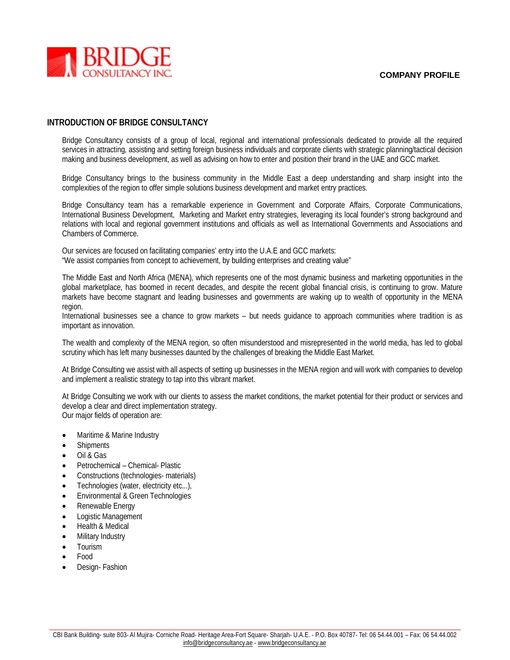

#### **INTRODUCTION OF BRIDGE CONSULTANCY**

Bridge Consultancy consists of a group of local, regional and international professionals dedicated to provide all the required services in attracting, assisting and setting foreign business individuals and corporate clients with strategic planning/tactical decision making and business development, as well as advising on how to enter and position their brand in the UAE and GCC market.

Bridge Consultancy brings to the business community in the Middle East a deep understanding and sharp insight into the complexities of the region to offer simple solutions business development and market entry practices.

Bridge Consultancy team has a remarkable experience in Government and Corporate Affairs, Corporate Communications, International Business Development, Marketing and Market entry strategies, leveraging its local founder's strong background and relations with local and regional government institutions and officials as well as International Governments and Associations and Chambers of Commerce.

Our services are focused on facilitating companies' entry into the U.A.E and GCC markets: "We assist companies from concept to achievement, by building enterprises and creating value"

The Middle East and North Africa (MENA), which represents one of the most dynamic business and marketing opportunities in the global marketplace, has boomed in recent decades, and despite the recent global financial crisis, is continuing to grow. Mature markets have become stagnant and leading businesses and governments are waking up to wealth of opportunity in the MENA region.

International businesses see a chance to grow markets – but needs guidance to approach communities where tradition is as important as innovation.

The wealth and complexity of the MENA region, so often misunderstood and misrepresented in the world media, has led to global scrutiny which has left many businesses daunted by the challenges of breaking the Middle East Market.

At Bridge Consulting we assist with all aspects of setting up businesses in the MENA region and will work with companies to develop and implement a realistic strategy to tap into this vibrant market.

At Bridge Consulting we work with our clients to assess the market conditions, the market potential for their product or services and develop a clear and direct implementation strategy. Our major fields of operation are:

- Maritime & Marine Industry
- Shipments
- Oil & Gas
- Petrochemical Chemical- Plastic
- Constructions (technologies- materials)
- Technologies (water, electricity etc...),
- Environmental & Green Technologies
- Renewable Energy
- Logistic Management
- Health & Medical
- Military Industry
- Tourism
- Food
- Design- Fashion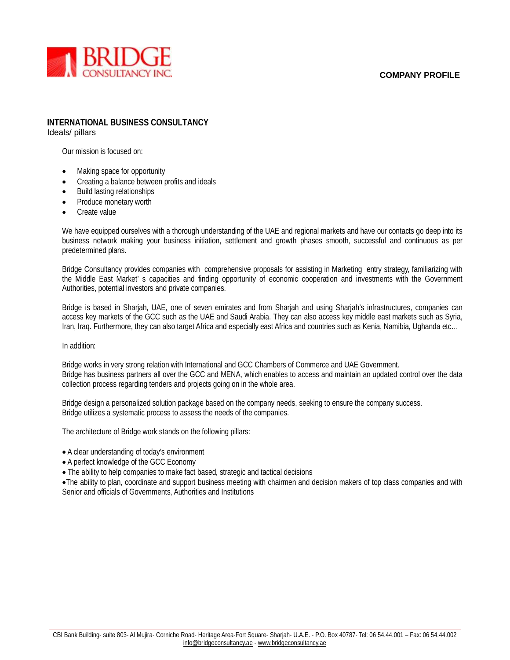

# **INTERNATIONAL BUSINESS CONSULTANCY**

Ideals/ pillars

Our mission is focused on:

- Making space for opportunity
- Creating a balance between profits and ideals
- Build lasting relationships
- Produce monetary worth
- Create value

We have equipped ourselves with a thorough understanding of the UAE and regional markets and have our contacts go deep into its business network making your business initiation, settlement and growth phases smooth, successful and continuous as per predetermined plans.

Bridge Consultancy provides companies with comprehensive proposals for assisting in Marketing entry strategy, familiarizing with the Middle East Market' s capacities and finding opportunity of economic cooperation and investments with the Government Authorities, potential investors and private companies.

Bridge is based in Sharjah, UAE, one of seven emirates and from Sharjah and using Sharjah's infrastructures, companies can access key markets of the GCC such as the UAE and Saudi Arabia. They can also access key middle east markets such as Syria, Iran, Iraq. Furthermore, they can also target Africa and especially east Africa and countries such as Kenia, Namibia, Ughanda etc…

In addition:

Bridge works in very strong relation with International and GCC Chambers of Commerce and UAE Government. Bridge has business partners all over the GCC and MENA, which enables to access and maintain an updated control over the data collection process regarding tenders and projects going on in the whole area.

Bridge design a personalized solution package based on the company needs, seeking to ensure the company success. Bridge utilizes a systematic process to assess the needs of the companies.

The architecture of Bridge work stands on the following pillars:

- A clear understanding of today's environment
- A perfect knowledge of the GCC Economy
- The ability to help companies to make fact based, strategic and tactical decisions

The ability to plan, coordinate and support business meeting with chairmen and decision makers of top class companies and with Senior and officials of Governments, Authorities and Institutions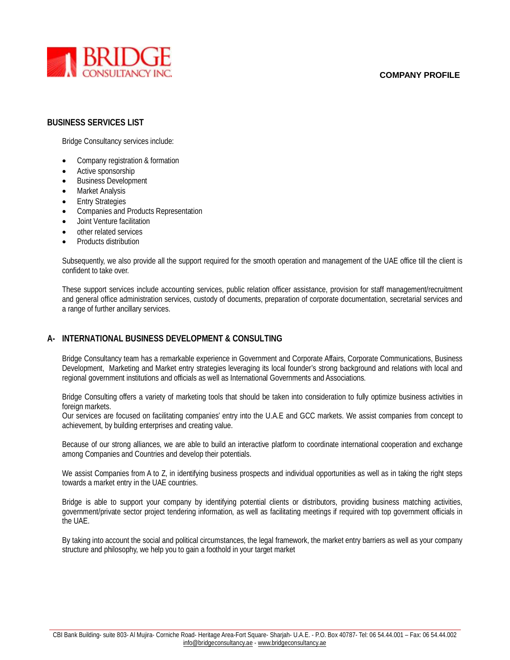

#### **BUSINESS SERVICES LIST**

Bridge Consultancy services include:

- Company registration & formation
- Active sponsorship
- Business Development
- Market Analysis
- Entry Strategies
- Companies and Products Representation
- Joint Venture facilitation
- other related services
- Products distribution

Subsequently, we also provide all the support required for the smooth operation and management of the UAE office till the client is confident to take over.

These support services include accounting services, public relation officer assistance, provision for staff management/recruitment and general office administration services, custody of documents, preparation of corporate documentation, secretarial services and a range of further ancillary services.

## **A- INTERNATIONAL BUSINESS DEVELOPMENT & CONSULTING**

Bridge Consultancy team has a remarkable experience in Government and Corporate Affairs, Corporate Communications, Business Development, Marketing and Market entry strategies leveraging its local founder's strong background and relations with local and regional government institutions and officials as well as International Governments and Associations.

Bridge Consulting offers a variety of marketing tools that should be taken into consideration to fully optimize business activities in foreign markets.

Our services are focused on facilitating companies' entry into the U.A.E and GCC markets. We assist companies from concept to achievement, by building enterprises and creating value.

Because of our strong alliances, we are able to build an interactive platform to coordinate international cooperation and exchange among Companies and Countries and develop their potentials.

We assist Companies from A to Z, in identifying business prospects and individual opportunities as well as in taking the right steps towards a market entry in the UAE countries.

Bridge is able to support your company by identifying potential clients or distributors, providing business matching activities, government/private sector project tendering information, as well as facilitating meetings if required with top government officials in the UAE.

By taking into account the social and political circumstances, the legal framework, the market entry barriers as well as your company structure and philosophy, we help you to gain a foothold in your target market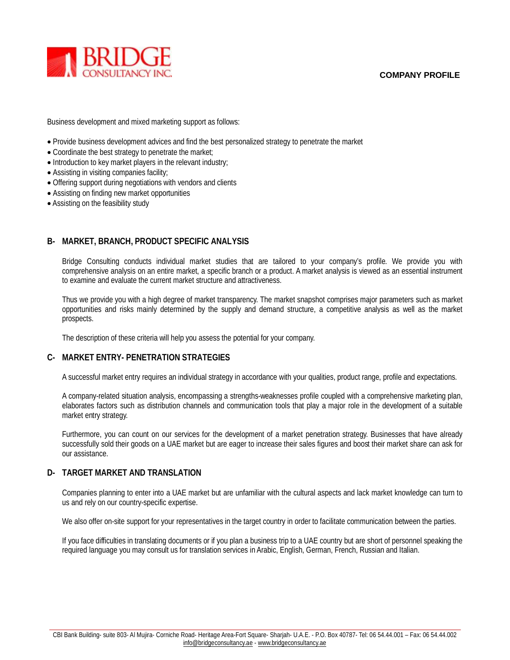

Business development and mixed marketing support as follows:

- Provide business development advices and find the best personalized strategy to penetrate the market
- Coordinate the best strategy to penetrate the market;
- Introduction to key market players in the relevant industry;
- Assisting in visiting companies facility;
- Offering support during negotiations with vendors and clients
- Assisting on finding new market opportunities
- Assisting on the feasibility study

# **B- MARKET, BRANCH, PRODUCT SPECIFIC ANALYSIS**

Bridge Consulting conducts individual market studies that are tailored to your company's profile. We provide you with comprehensive analysis on an entire market, a specific branch or a product. A market analysis is viewed as an essential instrument to examine and evaluate the current market structure and attractiveness.

Thus we provide you with a high degree of market transparency. The market snapshot comprises major parameters such as market opportunities and risks mainly determined by the supply and demand structure, a competitive analysis as well as the market prospects.

The description of these criteria will help you assess the potential for your company.

# **C- MARKET ENTRY- PENETRATION STRATEGIES**

A successful market entry requires an individual strategy in accordance with your qualities, product range, profile and expectations.

A company-related situation analysis, encompassing a strengths-weaknesses profile coupled with a comprehensive marketing plan, elaborates factors such as distribution channels and communication tools that play a major role in the development of a suitable market entry strategy.

Furthermore, you can count on our services for the development of a market penetration strategy. Businesses that have already successfully sold their goods on a UAE market but are eager to increase their sales figures and boost their market share can ask for our assistance.

## **D- TARGET MARKET AND TRANSLATION**

Companies planning to enter into a UAE market but are unfamiliar with the cultural aspects and lack market knowledge can turn to us and rely on our country-specific expertise.

We also offer on-site support for your representatives in the target country in order to facilitate communication between the parties.

If you face difficulties in translating documents or if you plan a business trip to a UAE country but are short of personnel speaking the required language you may consult us for translation services in Arabic, English, German, French, Russian and Italian.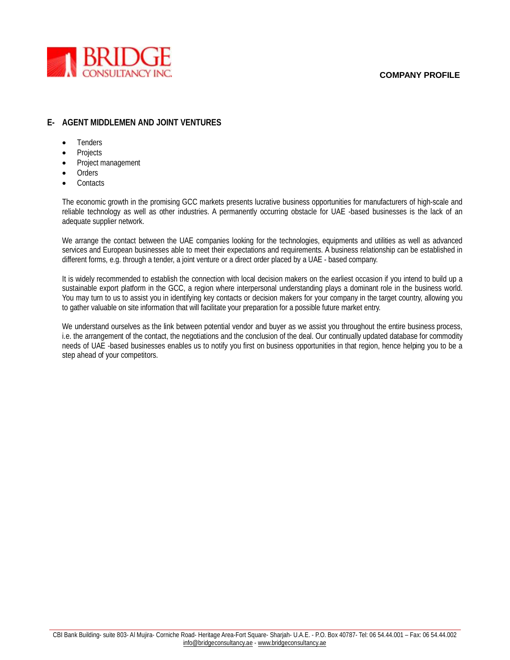

## **E- AGENT MIDDLEMEN AND JOINT VENTURES**

- Tenders
- Projects
- Project management
- **Orders**
- **Contacts**

The economic growth in the promising GCC markets presents lucrative business opportunities for manufacturers of high-scale and reliable technology as well as other industries. A permanently occurring obstacle for UAE -based businesses is the lack of an adequate supplier network.

We arrange the contact between the UAE companies looking for the technologies, equipments and utilities as well as advanced services and European businesses able to meet their expectations and requirements. A business relationship can be established in different forms, e.g. through a tender, a joint venture or a direct order placed by a UAE - based company.

It is widely recommended to establish the connection with local decision makers on the earliest occasion if you intend to build up a sustainable export platform in the GCC, a region where interpersonal understanding plays a dominant role in the business world. You may turn to us to assist you in identifying key contacts or decision makers for your company in the target country, allowing you to gather valuable on site information that will facilitate your preparation for a possible future market entry.

We understand ourselves as the link between potential vendor and buyer as we assist you throughout the entire business process, i.e. the arrangement of the contact, the negotiations and the conclusion of the deal. Our continually updated database for commodity needs of UAE -based businesses enables us to notify you first on business opportunities in that region, hence helping you to be a step ahead of your competitors.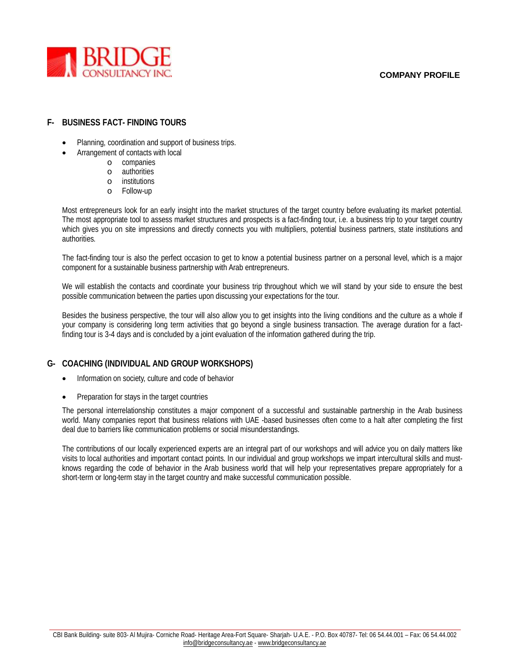

# **F- BUSINESS FACT- FINDING TOURS**

- Planning, coordination and support of business trips.
- Arrangement of contacts with local
	- o companies
	- o authorities
	- o institutions
	- o Follow-up

Most entrepreneurs look for an early insight into the market structures of the target country before evaluating its market potential. The most appropriate tool to assess market structures and prospects is a fact-finding tour, i.e. a business trip to your target country which gives you on site impressions and directly connects you with multipliers, potential business partners, state institutions and authorities.

The fact-finding tour is also the perfect occasion to get to know a potential business partner on a personal level, which is a major component for a sustainable business partnership with Arab entrepreneurs.

We will establish the contacts and coordinate your business trip throughout which we will stand by your side to ensure the best possible communication between the parties upon discussing your expectations for the tour.

Besides the business perspective, the tour will also allow you to get insights into the living conditions and the culture as a whole if your company is considering long term activities that go beyond a single business transaction. The average duration for a factfinding tour is 3-4 days and is concluded by a joint evaluation of the information gathered during the trip.

## **G- COACHING (INDIVIDUAL AND GROUP WORKSHOPS)**

- Information on society, culture and code of behavior
- Preparation for stays in the target countries

The personal interrelationship constitutes a major component of a successful and sustainable partnership in the Arab business world. Many companies report that business relations with UAE -based businesses often come to a halt after completing the first deal due to barriers like communication problems or social misunderstandings.

The contributions of our locally experienced experts are an integral part of our workshops and will advice you on daily matters like visits to local authorities and important contact points. In our individual and group workshops we impart intercultural skills and mustknows regarding the code of behavior in the Arab business world that will help your representatives prepare appropriately for a short-term or long-term stay in the target country and make successful communication possible.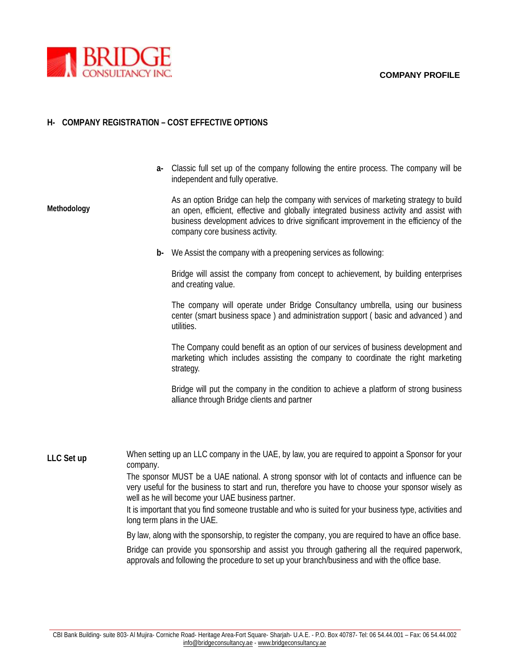

# **H- COMPANY REGISTRATION – COST EFFECTIVE OPTIONS**

**a-** Classic full set up of the company following the entire process. The company will be independent and fully operative.

**Methodology** As an option Bridge can help the company with services of marketing strategy to build an open, efficient, effective and globally integrated business activity and assist with business development advices to drive significant improvement in the efficiency of the company core business activity.

**b-** We Assist the company with a preopening services as following:

Bridge will assist the company from concept to achievement, by building enterprises and creating value.

The company will operate under Bridge Consultancy umbrella, using our business center (smart business space ) and administration support ( basic and advanced ) and utilities.

The Company could benefit as an option of our services of business development and marketing which includes assisting the company to coordinate the right marketing strategy.

Bridge will put the company in the condition to achieve a platform of strong business alliance through Bridge clients and partner

**LLC Set up** When setting up an LLC company in the UAE, by law, you are required to appoint a Sponsor for your company.

> The sponsor MUST be a UAE national. A strong sponsor with lot of contacts and influence can be very useful for the business to start and run, therefore you have to choose your sponsor wisely as well as he will become your UAE business partner.

> It is important that you find someone trustable and who is suited for your business type, activities and long term plans in the UAE.

> By law, along with the sponsorship, to register the company, you are required to have an office base.

Bridge can provide you sponsorship and assist you through gathering all the required paperwork, approvals and following the procedure to set up your branch/business and with the office base.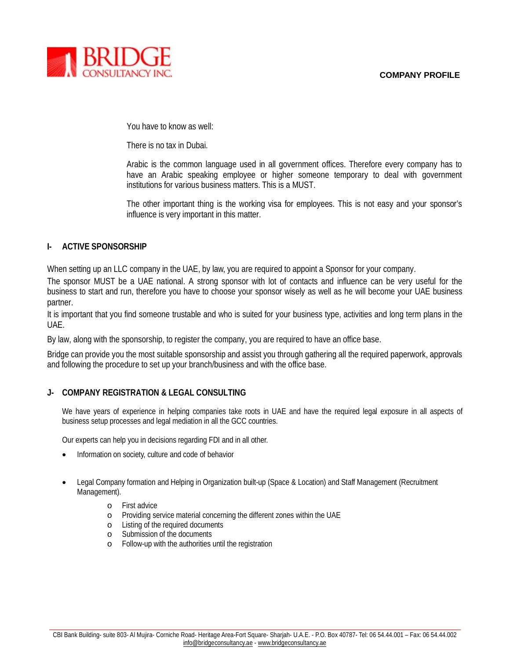

You have to know as well:

There is no tax in Dubai.

Arabic is the common language used in all government offices. Therefore every company has to have an Arabic speaking employee or higher someone temporary to deal with government institutions for various business matters. This is a MUST.

The other important thing is the working visa for employees. This is not easy and your sponsor's influence is very important in this matter.

## **I- ACTIVE SPONSORSHIP**

When setting up an LLC company in the UAE, by law, you are required to appoint a Sponsor for your company.

The sponsor MUST be a UAE national. A strong sponsor with lot of contacts and influence can be very useful for the business to start and run, therefore you have to choose your sponsor wisely as well as he will become your UAE business partner.

It is important that you find someone trustable and who is suited for your business type, activities and long term plans in the UAE.

By law, along with the sponsorship, to register the company, you are required to have an office base.

Bridge can provide you the most suitable sponsorship and assist you through gathering all the required paperwork, approvals and following the procedure to set up your branch/business and with the office base.

## **J- COMPANY REGISTRATION & LEGAL CONSULTING**

We have years of experience in helping companies take roots in UAE and have the required legal exposure in all aspects of business setup processes and legal mediation in all the GCC countries.

Our experts can help you in decisions regarding FDI and in all other.

- Information on society, culture and code of behavior
- Legal Company formation and Helping in Organization built-up (Space & Location) and Staff Management (Recruitment Management).
	- o First advice
	- o Providing service material concerning the different zones within the UAE
	- o Listing of the required documents
	- o Submission of the documents
	- o Follow-up with the authorities until the registration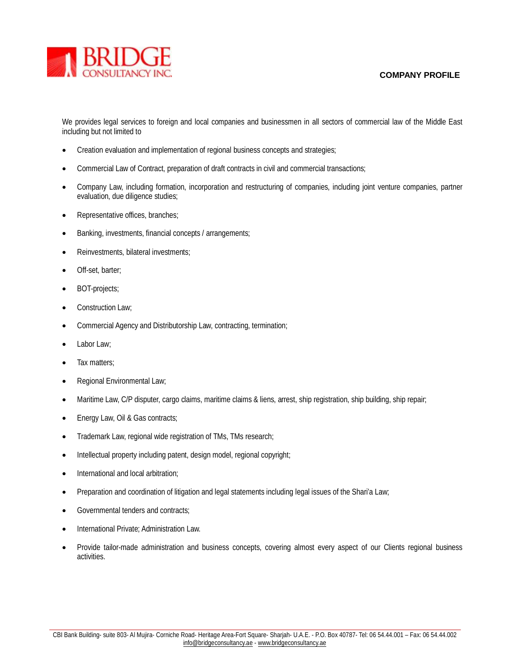

We provides legal services to foreign and local companies and businessmen in all sectors of commercial law of the Middle East including but not limited to

- Creation evaluation and implementation of regional business concepts and strategies;
- Commercial Law of Contract, preparation of draft contracts in civil and commercial transactions;
- Company Law, including formation, incorporation and restructuring of companies, including joint venture companies, partner evaluation, due diligence studies;
- Representative offices, branches;
- Banking, investments, financial concepts / arrangements;
- Reinvestments, bilateral investments;
- Off-set, barter;
- BOT-projects;
- Construction Law;
- Commercial Agency and Distributorship Law, contracting, termination;
- Labor Law;
- Tax matters;
- Regional Environmental Law;
- Maritime Law, C/P disputer, cargo claims, maritime claims & liens, arrest, ship registration, ship building, ship repair;
- Energy Law, Oil & Gas contracts;
- Trademark Law, regional wide registration of TMs, TMs research;
- Intellectual property including patent, design model, regional copyright;
- International and local arbitration:
- Preparation and coordination of litigation and legal statements including legal issues of the Shari'a Law;
- Governmental tenders and contracts;
- International Private; Administration Law.
- Provide tailor-made administration and business concepts, covering almost every aspect of our Clients regional business activities.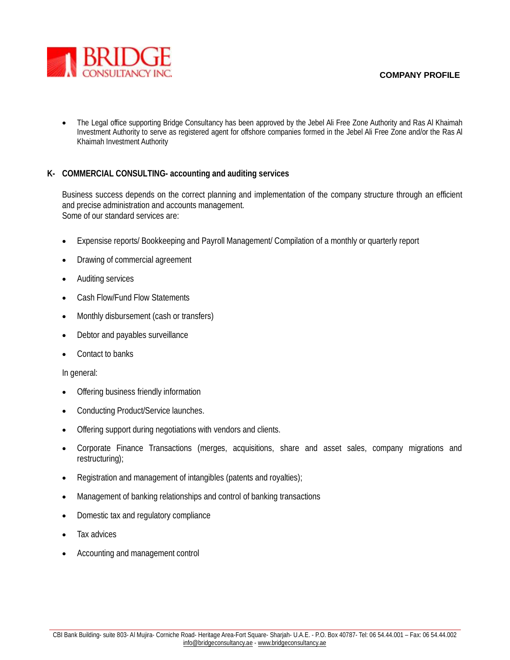

 The Legal office supporting Bridge Consultancy has been approved by the Jebel Ali Free Zone Authority and Ras Al Khaimah Investment Authority to serve as registered agent for offshore companies formed in the Jebel Ali Free Zone and/or the Ras Al Khaimah Investment Authority

# **K- COMMERCIAL CONSULTING- accounting and auditing services**

Business success depends on the correct planning and implementation of the company structure through an efficient and precise administration and accounts management. Some of our standard services are:

- Expensise reports/ Bookkeeping and Payroll Management/ Compilation of a monthly or quarterly report
- Drawing of commercial agreement
- Auditing services
- Cash Flow/Fund Flow Statements
- Monthly disbursement (cash or transfers)
- Debtor and payables surveillance
- Contact to banks

In general:

- Offering business friendly information
- Conducting Product/Service launches.
- Offering support during negotiations with vendors and clients.
- Corporate Finance Transactions (merges, acquisitions, share and asset sales, company migrations and restructuring);
- Registration and management of intangibles (patents and royalties);
- Management of banking relationships and control of banking transactions
- Domestic tax and regulatory compliance
- Tax advices
- Accounting and management control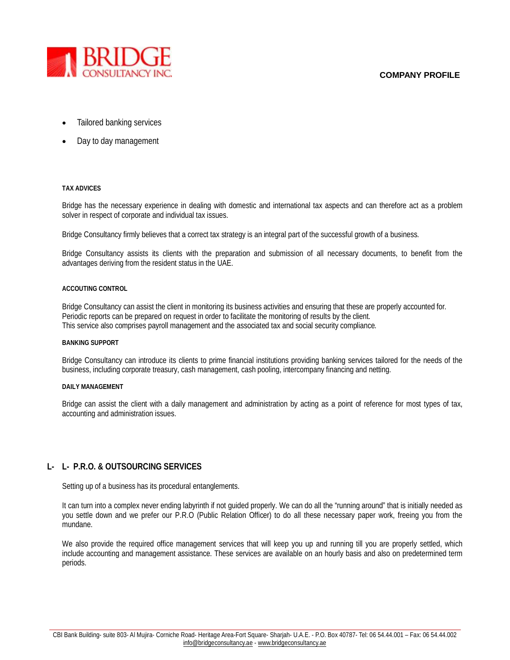

- Tailored banking services
- Day to day management

#### **TAX ADVICES**

Bridge has the necessary experience in dealing with domestic and international tax aspects and can therefore act as a problem solver in respect of corporate and individual tax issues.

Bridge Consultancy firmly believes that a correct tax strategy is an integral part of the successful growth of a business.

Bridge Consultancy assists its clients with the preparation and submission of all necessary documents, to benefit from the advantages deriving from the resident status in the UAE.

#### **ACCOUTING CONTROL**

Bridge Consultancy can assist the client in monitoring its business activities and ensuring that these are properly accounted for. Periodic reports can be prepared on request in order to facilitate the monitoring of results by the client. This service also comprises payroll management and the associated tax and social security compliance.

#### **BANKING SUPPORT**

Bridge Consultancy can introduce its clients to prime financial institutions providing banking services tailored for the needs of the business, including corporate treasury, cash management, cash pooling, intercompany financing and netting.

#### **DAILY MANAGEMENT**

Bridge can assist the client with a daily management and administration by acting as a point of reference for most types of tax, accounting and administration issues.

## **L- L- P.R.O. & OUTSOURCING SERVICES**

Setting up of a business has its procedural entanglements.

It can turn into a complex never ending labyrinth if not guided properly. We can do all the "running around" that is initially needed as you settle down and we prefer our P.R.O (Public Relation Officer) to do all these necessary paper work, freeing you from the mundane.

We also provide the required office management services that will keep you up and running till you are properly settled, which include accounting and management assistance. These services are available on an hourly basis and also on predetermined term periods.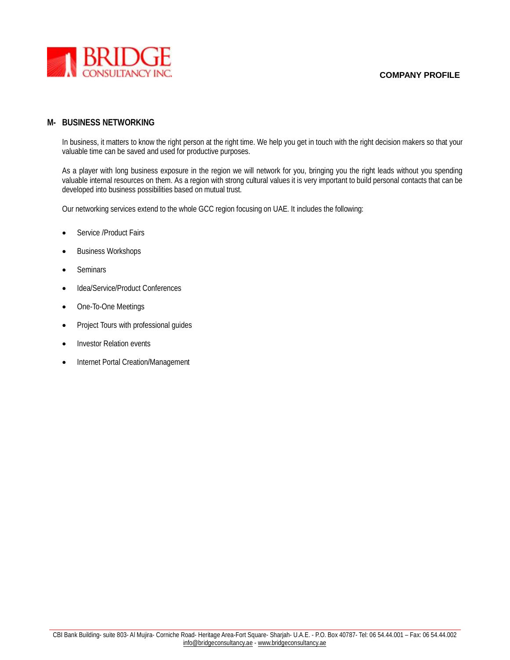

#### **M- BUSINESS NETWORKING**

In business, it matters to know the right person at the right time. We help you get in touch with the right decision makers so that your valuable time can be saved and used for productive purposes.

As a player with long business exposure in the region we will network for you, bringing you the right leads without you spending valuable internal resources on them. As a region with strong cultural values it is very important to build personal contacts that can be developed into business possibilities based on mutual trust.

Our networking services extend to the whole GCC region focusing on UAE. It includes the following:

- Service /Product Fairs
- Business Workshops
- Seminars
- Idea/Service/Product Conferences
- One-To-One Meetings
- Project Tours with professional guides
- Investor Relation events
- Internet Portal Creation/Management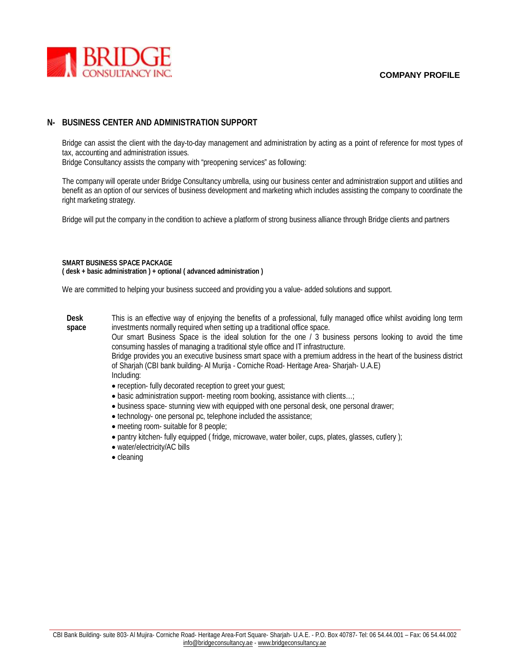

# **N- BUSINESS CENTER AND ADMINISTRATION SUPPORT**

Bridge can assist the client with the day-to-day management and administration by acting as a point of reference for most types of tax, accounting and administration issues.

Bridge Consultancy assists the company with "preopening services" as following:

The company will operate under Bridge Consultancy umbrella, using our business center and administration support and utilities and benefit as an option of our services of business development and marketing which includes assisting the company to coordinate the right marketing strategy.

Bridge will put the company in the condition to achieve a platform of strong business alliance through Bridge clients and partners

#### **SMART BUSINESS SPACE PACKAGE ( desk + basic administration ) + optional ( advanced administration )**

We are committed to helping your business succeed and providing you a value- added solutions and support.

**Desk space** This is an effective way of enjoying the benefits of a professional, fully managed office whilst avoiding long term investments normally required when setting up a traditional office space.

Our smart Business Space is the ideal solution for the one / 3 business persons looking to avoid the time consuming hassles of managing a traditional style office and IT infrastructure.

Bridge provides you an executive business smart space with a premium address in the heart of the business district of Sharjah (CBI bank building- Al Murija - Corniche Road- Heritage Area- Sharjah- U.A.E) Including:

- reception- fully decorated reception to greet your guest;
- basic administration support- meeting room booking, assistance with clients…;
- business space- stunning view with equipped with one personal desk, one personal drawer;
- technology- one personal pc, telephone included the assistance;
- meeting room- suitable for 8 people;
- pantry kitchen- fully equipped ( fridge, microwave, water boiler, cups, plates, glasses, cutlery );
- water/electricity/AC bills
- cleaning